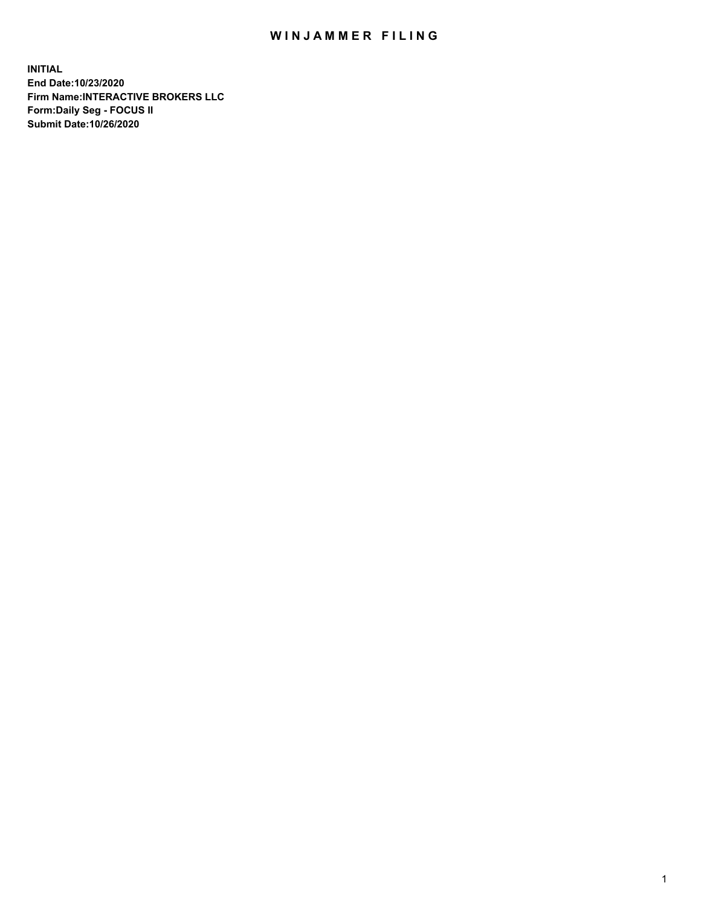## WIN JAMMER FILING

**INITIAL End Date:10/23/2020 Firm Name:INTERACTIVE BROKERS LLC Form:Daily Seg - FOCUS II Submit Date:10/26/2020**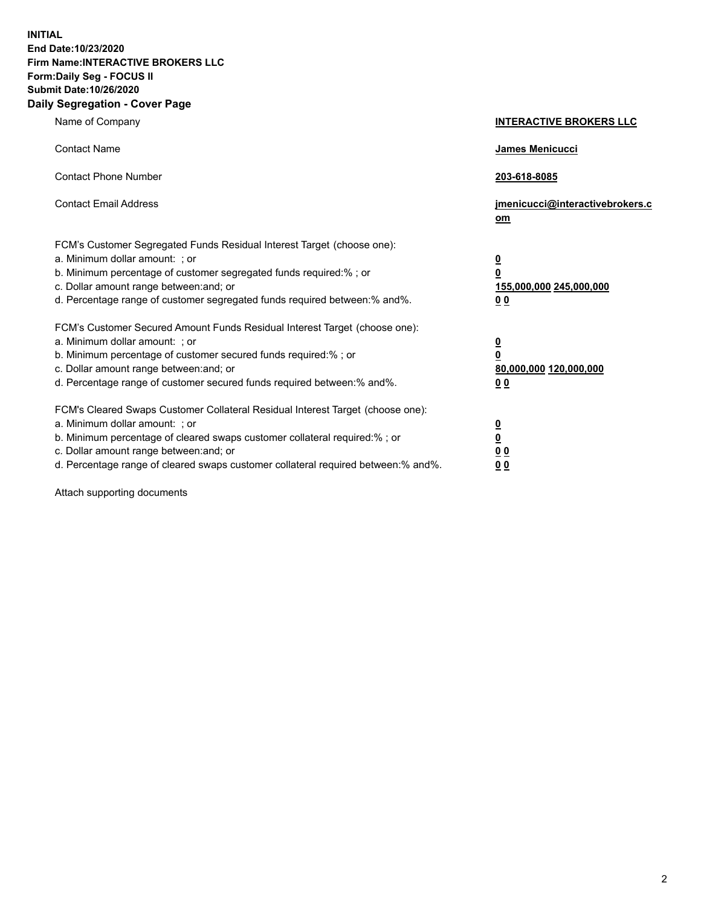**INITIAL End Date:10/23/2020 Firm Name:INTERACTIVE BROKERS LLC Form:Daily Seg - FOCUS II Submit Date:10/26/2020 Daily Segregation - Cover Page**

| Name of Company                                                                                                                                                                                                                                                                                                                | <b>INTERACTIVE BROKERS LLC</b>                                                  |  |
|--------------------------------------------------------------------------------------------------------------------------------------------------------------------------------------------------------------------------------------------------------------------------------------------------------------------------------|---------------------------------------------------------------------------------|--|
| <b>Contact Name</b>                                                                                                                                                                                                                                                                                                            | James Menicucci                                                                 |  |
| <b>Contact Phone Number</b>                                                                                                                                                                                                                                                                                                    | 203-618-8085                                                                    |  |
| <b>Contact Email Address</b>                                                                                                                                                                                                                                                                                                   | jmenicucci@interactivebrokers.c<br>om                                           |  |
| FCM's Customer Segregated Funds Residual Interest Target (choose one):<br>a. Minimum dollar amount: ; or<br>b. Minimum percentage of customer segregated funds required:%; or<br>c. Dollar amount range between: and; or<br>d. Percentage range of customer segregated funds required between:% and%.                          | <u>0</u><br>$\overline{\mathbf{0}}$<br>155,000,000 245,000,000<br><u>00</u>     |  |
| FCM's Customer Secured Amount Funds Residual Interest Target (choose one):<br>a. Minimum dollar amount: ; or<br>b. Minimum percentage of customer secured funds required:% ; or<br>c. Dollar amount range between: and; or<br>d. Percentage range of customer secured funds required between:% and%.                           | <u>0</u><br>$\overline{\mathbf{0}}$<br>80,000,000 120,000,000<br>0 <sub>0</sub> |  |
| FCM's Cleared Swaps Customer Collateral Residual Interest Target (choose one):<br>a. Minimum dollar amount: ; or<br>b. Minimum percentage of cleared swaps customer collateral required:% ; or<br>c. Dollar amount range between: and; or<br>d. Percentage range of cleared swaps customer collateral required between:% and%. | <u>0</u><br>$\underline{\mathbf{0}}$<br>0 <sub>0</sub><br>0 <sub>0</sub>        |  |

Attach supporting documents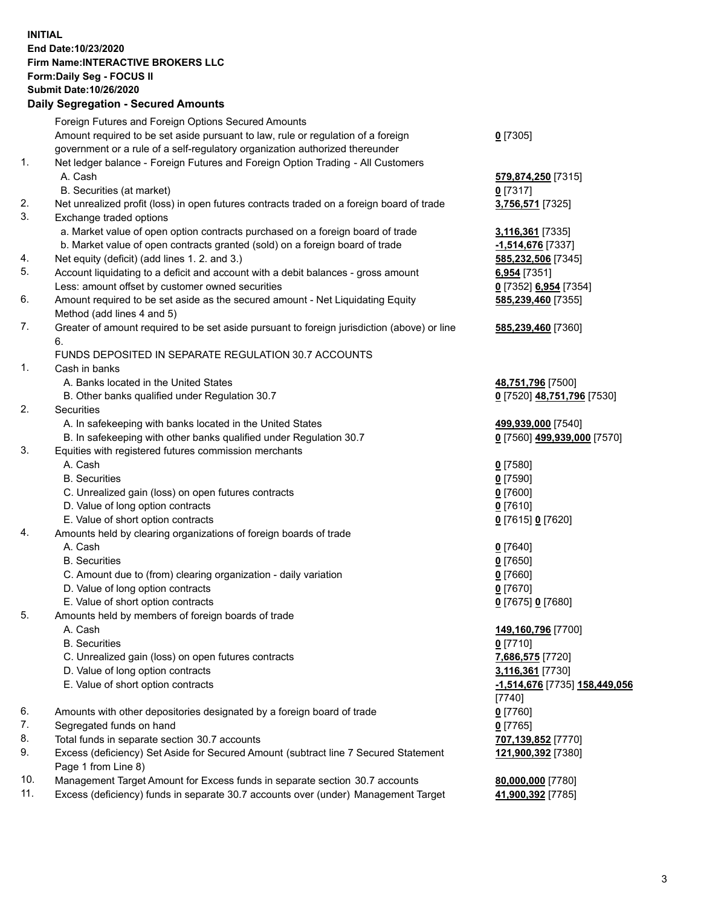**INITIAL End Date:10/23/2020 Firm Name:INTERACTIVE BROKERS LLC Form:Daily Seg - FOCUS II Submit Date:10/26/2020 Daily Segregation - Secured Amounts**

## Foreign Futures and Foreign Options Secured Amounts Amount required to be set aside pursuant to law, rule or regulation of a foreign government or a rule of a self-regulatory organization authorized thereunder **0** [7305] 1. Net ledger balance - Foreign Futures and Foreign Option Trading - All Customers A. Cash **579,874,250** [7315] B. Securities (at market) **0** [7317] 2. Net unrealized profit (loss) in open futures contracts traded on a foreign board of trade **3,756,571** [7325] 3. Exchange traded options a. Market value of open option contracts purchased on a foreign board of trade **3,116,361** [7335] b. Market value of open contracts granted (sold) on a foreign board of trade **-1,514,676** [7337] 4. Net equity (deficit) (add lines 1. 2. and 3.) **585,232,506** [7345] 5. Account liquidating to a deficit and account with a debit balances - gross amount **6,954** [7351] Less: amount offset by customer owned securities **0** [7352] **6,954** [7354] 6. Amount required to be set aside as the secured amount - Net Liquidating Equity Method (add lines 4 and 5) **585,239,460** [7355] 7. Greater of amount required to be set aside pursuant to foreign jurisdiction (above) or line 6. **585,239,460** [7360] FUNDS DEPOSITED IN SEPARATE REGULATION 30.7 ACCOUNTS 1. Cash in banks A. Banks located in the United States **48,751,796** [7500] B. Other banks qualified under Regulation 30.7 **0** [7520] **48,751,796** [7530] 2. Securities A. In safekeeping with banks located in the United States **499,939,000** [7540] B. In safekeeping with other banks qualified under Regulation 30.7 **0** [7560] **499,939,000** [7570] 3. Equities with registered futures commission merchants A. Cash **0** [7580] B. Securities **0** [7590] C. Unrealized gain (loss) on open futures contracts **0** [7600] D. Value of long option contracts **0** [7610] E. Value of short option contracts **0** [7615] **0** [7620] 4. Amounts held by clearing organizations of foreign boards of trade A. Cash **0** [7640] B. Securities **0** [7650] C. Amount due to (from) clearing organization - daily variation **0** [7660] D. Value of long option contracts **0** [7670] E. Value of short option contracts **0** [7675] **0** [7680] 5. Amounts held by members of foreign boards of trade A. Cash **149,160,796** [7700] B. Securities **0** [7710] C. Unrealized gain (loss) on open futures contracts **7,686,575** [7720] D. Value of long option contracts **3,116,361** [7730] E. Value of short option contracts **-1,514,676** [7735] **158,449,056** [7740] 6. Amounts with other depositories designated by a foreign board of trade **0** [7760] 7. Segregated funds on hand **0** [7765] 8. Total funds in separate section 30.7 accounts **707,139,852** [7770] 9. Excess (deficiency) Set Aside for Secured Amount (subtract line 7 Secured Statement Page 1 from Line 8) **121,900,392** [7380] 10. Management Target Amount for Excess funds in separate section 30.7 accounts **80,000,000** [7780] 11. Excess (deficiency) funds in separate 30.7 accounts over (under) Management Target **41,900,392** [7785]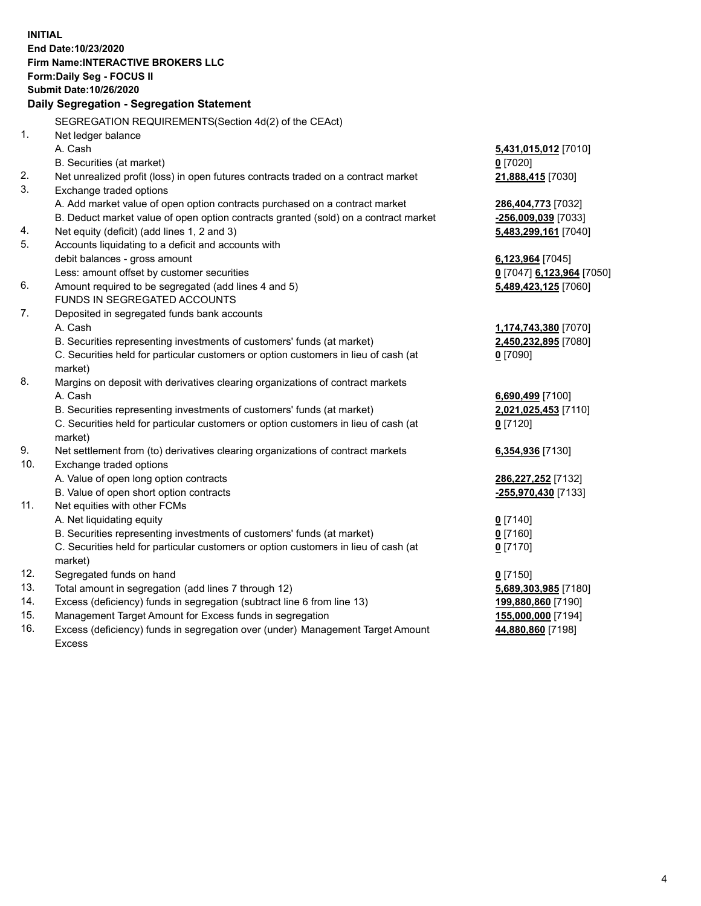**INITIAL End Date:10/23/2020 Firm Name:INTERACTIVE BROKERS LLC Form:Daily Seg - FOCUS II Submit Date:10/26/2020 Daily Segregation - Segregation Statement** SEGREGATION REQUIREMENTS(Section 4d(2) of the CEAct) 1. Net ledger balance A. Cash **5,431,015,012** [7010] B. Securities (at market) **0** [7020] 2. Net unrealized profit (loss) in open futures contracts traded on a contract market **21,888,415** [7030] 3. Exchange traded options A. Add market value of open option contracts purchased on a contract market **286,404,773** [7032] B. Deduct market value of open option contracts granted (sold) on a contract market **-256,009,039** [7033] 4. Net equity (deficit) (add lines 1, 2 and 3) **5,483,299,161** [7040] 5. Accounts liquidating to a deficit and accounts with debit balances - gross amount **6,123,964** [7045] Less: amount offset by customer securities **0** [7047] **6,123,964** [7050] 6. Amount required to be segregated (add lines 4 and 5) **5,489,423,125** [7060] FUNDS IN SEGREGATED ACCOUNTS 7. Deposited in segregated funds bank accounts A. Cash **1,174,743,380** [7070] B. Securities representing investments of customers' funds (at market) **2,450,232,895** [7080] C. Securities held for particular customers or option customers in lieu of cash (at market) **0** [7090] 8. Margins on deposit with derivatives clearing organizations of contract markets A. Cash **6,690,499** [7100] B. Securities representing investments of customers' funds (at market) **2,021,025,453** [7110] C. Securities held for particular customers or option customers in lieu of cash (at market) **0** [7120] 9. Net settlement from (to) derivatives clearing organizations of contract markets **6,354,936** [7130] 10. Exchange traded options A. Value of open long option contracts **286,227,252** [7132] B. Value of open short option contracts **-255,970,430** [7133] 11. Net equities with other FCMs A. Net liquidating equity **0** [7140] B. Securities representing investments of customers' funds (at market) **0** [7160] C. Securities held for particular customers or option customers in lieu of cash (at market) **0** [7170] 12. Segregated funds on hand **0** [7150] 13. Total amount in segregation (add lines 7 through 12) **5,689,303,985** [7180] 14. Excess (deficiency) funds in segregation (subtract line 6 from line 13) **199,880,860** [7190] 15. Management Target Amount for Excess funds in segregation **155,000,000** [7194] **44,880,860** [7198]

16. Excess (deficiency) funds in segregation over (under) Management Target Amount Excess